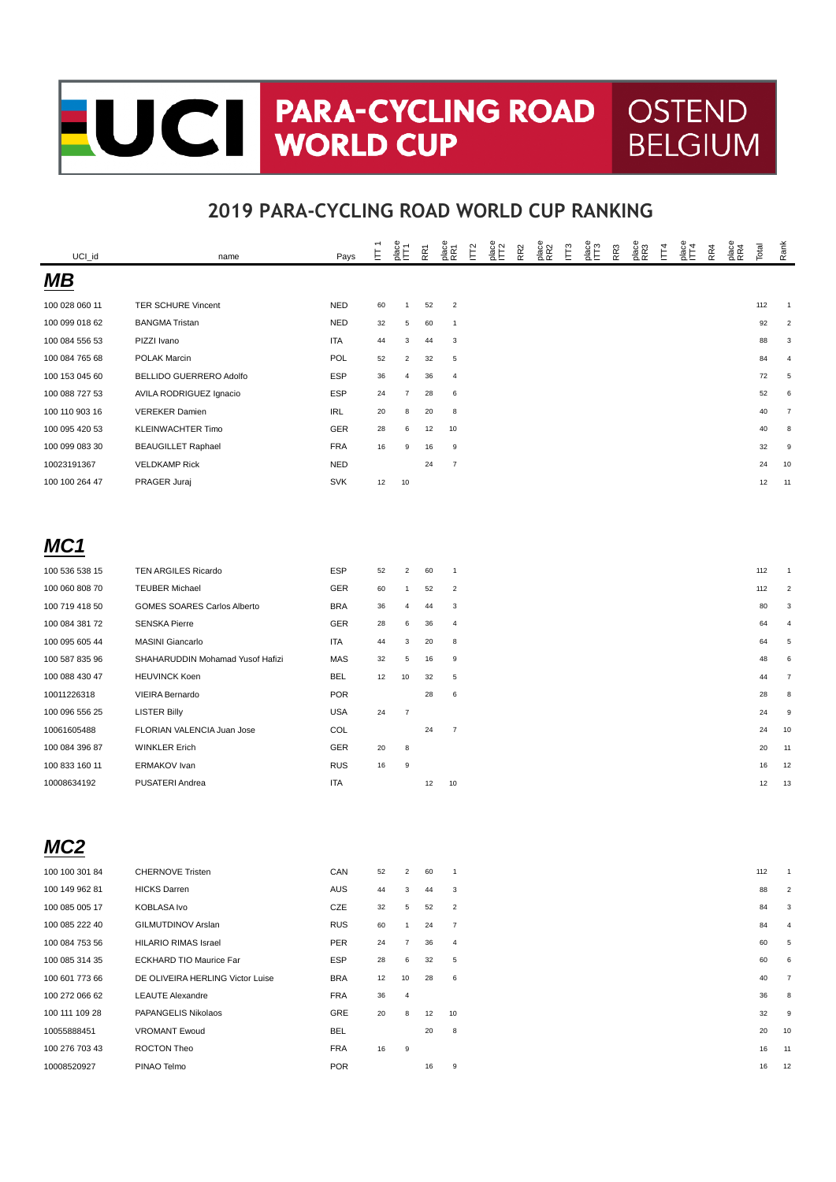# CH PARA-CYCLII **PARA-CYCLING ROAD** OSTEND

#### **2019 PARA-CYCLING ROAD WORLD CUP RANKING**

**BELGIUM** 

| UCI_id         | name                             | Pays       | Ė  | $rac{8}{2}$    | RR <sub>7</sub> | place<br>RR1     | Γ <sub>2</sub> | age<br>IT2 | R <sub>R2</sub> | place<br>RR2 | IЩ3 | R <sub>R</sub> 3 | nace<br>RR3 | Ĕ | $rac{6}{2}$ | RR4 | place<br>RR4 | Total | Rank           |
|----------------|----------------------------------|------------|----|----------------|-----------------|------------------|----------------|------------|-----------------|--------------|-----|------------------|-------------|---|-------------|-----|--------------|-------|----------------|
| MВ             |                                  |            |    |                |                 |                  |                |            |                 |              |     |                  |             |   |             |     |              |       |                |
| 100 028 060 11 | TER SCHURE Vincent               | <b>NED</b> | 60 | $\mathbf{1}$   | 52              | $\overline{2}$   |                |            |                 |              |     |                  |             |   |             |     |              | 112   | 1              |
| 100 099 018 62 | <b>BANGMA Tristan</b>            | <b>NED</b> | 32 | 5              | 60              | $\mathbf{1}$     |                |            |                 |              |     |                  |             |   |             |     |              | 92    | $\mathfrak{p}$ |
| 100 084 556 53 | PIZZI Ivano                      | ITA        | 44 | 3              | 44              | 3                |                |            |                 |              |     |                  |             |   |             |     |              | 88    | 3              |
| 100 084 765 68 | POLAK Marcin                     | POL        | 52 | $\overline{2}$ | 32              | $\overline{5}$   |                |            |                 |              |     |                  |             |   |             |     |              | 84    | 4              |
| 100 153 045 60 | BELLIDO GUERRERO Adolfo          | <b>ESP</b> | 36 | 4              | 36              | $\overline{a}$   |                |            |                 |              |     |                  |             |   |             |     |              | 72    | 5              |
| 100 088 727 53 | AVILA RODRIGUEZ Ignacio          | <b>ESP</b> | 24 | $\overline{7}$ | 28              | 6                |                |            |                 |              |     |                  |             |   |             |     |              | 52    | 6              |
| 100 110 903 16 | <b>VEREKER Damien</b>            | IRL        | 20 | 8              | 20              | 8                |                |            |                 |              |     |                  |             |   |             |     |              | 40    | $\overline{7}$ |
| 100 095 420 53 | <b>KLEINWACHTER Timo</b>         | GER        | 28 | 6              | 12              | 10               |                |            |                 |              |     |                  |             |   |             |     |              | 40    | 8              |
| 100 099 083 30 | <b>BEAUGILLET Raphael</b>        | <b>FRA</b> | 16 | 9              | 16              | 9                |                |            |                 |              |     |                  |             |   |             |     |              | 32    | 9              |
| 10023191367    | <b>VELDKAMP Rick</b>             | <b>NED</b> |    |                | 24              | $\overline{7}$   |                |            |                 |              |     |                  |             |   |             |     |              | 24    | 10             |
| 100 100 264 47 | PRAGER Juraj                     | <b>SVK</b> | 12 | 10             |                 |                  |                |            |                 |              |     |                  |             |   |             |     |              | 12    | 11             |
|                |                                  |            |    |                |                 |                  |                |            |                 |              |     |                  |             |   |             |     |              |       |                |
| MC1            |                                  |            |    |                |                 |                  |                |            |                 |              |     |                  |             |   |             |     |              |       |                |
| 100 536 538 15 | TEN ARGILES Ricardo              | <b>ESP</b> | 52 | $\overline{2}$ | 60              | $\mathbf{1}$     |                |            |                 |              |     |                  |             |   |             |     |              | 112   |                |
| 100 060 808 70 | <b>TEUBER Michael</b>            | GER        | 60 | $\mathbf{1}$   | 52              | $\overline{2}$   |                |            |                 |              |     |                  |             |   |             |     |              | 112   |                |
| 100 719 418 50 | GOMES SOARES Carlos Alberto      | <b>BRA</b> | 36 | 4              | 44              | 3                |                |            |                 |              |     |                  |             |   |             |     |              | 80    | 3              |
| 100 084 381 72 | <b>SENSKA Pierre</b>             | GER        | 28 | 6              | 36              | $\overline{a}$   |                |            |                 |              |     |                  |             |   |             |     |              | 64    |                |
| 100 095 605 44 | <b>MASINI Giancarlo</b>          | ITA        | 44 | 3              | 20              | 8                |                |            |                 |              |     |                  |             |   |             |     |              | 64    | 5              |
| 100 587 835 96 | SHAHARUDDIN Mohamad Yusof Hafizi | <b>MAS</b> | 32 | 5              | 16              | 9                |                |            |                 |              |     |                  |             |   |             |     |              | 48    | 6              |
| 100 088 430 47 | <b>HEUVINCK Koen</b>             | BEL        | 12 | 10             | 32              | $\overline{5}$   |                |            |                 |              |     |                  |             |   |             |     |              | 44    | 7              |
| 10011226318    | VIEIRA Bernardo                  | <b>POR</b> |    |                | 28              | 6                |                |            |                 |              |     |                  |             |   |             |     |              | 28    | 8              |
| 100 096 556 25 | <b>LISTER Billy</b>              | <b>USA</b> | 24 | $\overline{7}$ |                 |                  |                |            |                 |              |     |                  |             |   |             |     |              | 24    | 9              |
| 10061605488    | FLORIAN VALENCIA Juan Jose       | COL        |    |                | 24              | $\overline{7}$   |                |            |                 |              |     |                  |             |   |             |     |              | 24    | 10             |
| 100 084 396 87 | <b>WINKLER Erich</b>             | GER        | 20 | 8              |                 |                  |                |            |                 |              |     |                  |             |   |             |     |              | 20    | 11             |
| 100 833 160 11 | <b>ERMAKOV</b> Ivan              | <b>RUS</b> | 16 | 9              |                 |                  |                |            |                 |              |     |                  |             |   |             |     |              | 16    | 12             |
| 10008634192    | PUSATERI Andrea                  | <b>ITA</b> |    |                | 12              | 10               |                |            |                 |              |     |                  |             |   |             |     |              | 12    | 13             |
|                |                                  |            |    |                |                 |                  |                |            |                 |              |     |                  |             |   |             |     |              |       |                |
|                |                                  |            |    |                |                 |                  |                |            |                 |              |     |                  |             |   |             |     |              |       |                |
| 100 100 301 84 | <b>CHERNOVE Tristen</b>          | CAN        | 52 | $\sim$         | 60              |                  |                |            |                 |              |     |                  |             |   |             |     |              | 112   |                |
| 100 149 962 81 | <b>HICKS Darren</b>              | AUS        | 44 | 3              | 44              | 3                |                |            |                 |              |     |                  |             |   |             |     |              | 88    |                |
| 100 085 005 17 | KOBLASA Ivo                      | CZE        | 32 | 5              | 52              | $\overline{2}$   |                |            |                 |              |     |                  |             |   |             |     |              | 84    | 3              |
| 100 085 222 40 | GILMUTDINOV Arslan               | <b>RUS</b> | 60 | $\mathbf{1}$   | 24              | $\overline{7}$   |                |            |                 |              |     |                  |             |   |             |     |              | 84    |                |
| 100 084 753 56 | HILARIO RIMAS Israel             | PER        | 24 | $\overline{7}$ | 36              | $\overline{4}$   |                |            |                 |              |     |                  |             |   |             |     |              | 60    |                |
| 100 085 314 35 | ECKHARD TIO Maurice Far          | <b>ESP</b> | 28 | 6              | 32              | $\overline{5}$   |                |            |                 |              |     |                  |             |   |             |     |              | 60    |                |
| 100 601 773 66 | DE OLIVEIRA HERLING Victor Luise | <b>BRA</b> | 12 | 10             | 28              | 6                |                |            |                 |              |     |                  |             |   |             |     |              | 40    |                |
| 100 272 066 62 | <b>LEAUTE Alexandre</b>          | <b>FRA</b> | 36 | $\overline{a}$ |                 |                  |                |            |                 |              |     |                  |             |   |             |     |              | 36    | 8              |
| 100 111 109 28 | PAPANGELIS Nikolaos              | GRE        | 20 | 8              | 12              | 10               |                |            |                 |              |     |                  |             |   |             |     |              | 32    | 9              |
| 10055888451    | <b>VROMANT Ewoud</b>             | <b>BEL</b> |    |                | 20              | 8                |                |            |                 |              |     |                  |             |   |             |     |              | 20    | 10             |
| 100 276 703 43 | ROCTON Theo                      | FRA        | 16 | 9              |                 |                  |                |            |                 |              |     |                  |             |   |             |     |              | 16    | 11             |
| 10008520927    | PINAO Telmo                      | <b>POR</b> |    |                | 16              | $\boldsymbol{9}$ |                |            |                 |              |     |                  |             |   |             |     |              | 16    | 12             |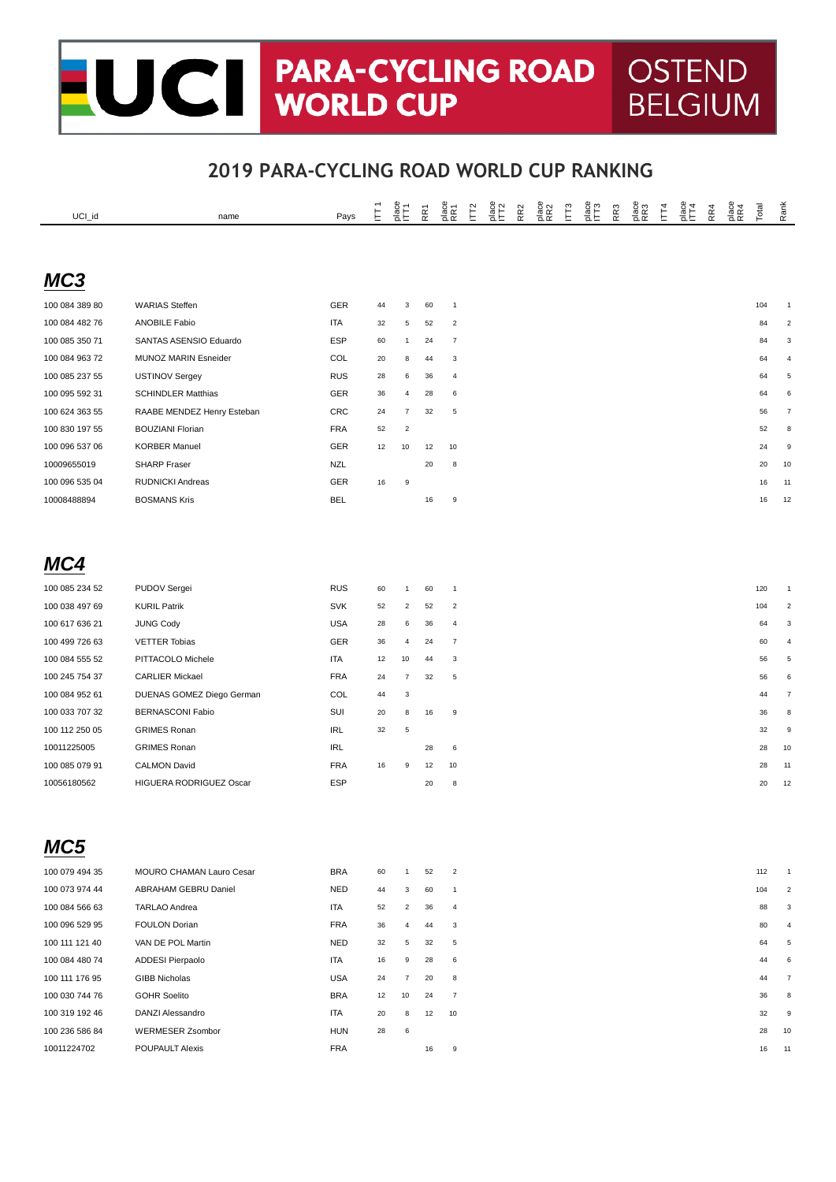## **CHE PARA-CYCLING ROAD | OSTEND<br>WORLD CUP | BELGIUM BELGIUM**

| UCI_id         | name                       | Pays       | E  | $rac{a}{2}E$   | È  | a<br>RR1                | $\tilde{\Gamma}$ | $rac{8}{2}$ | RR <sub>2</sub> | place<br>RR2 | Ë | age<br>IT3 | RR <sub>3</sub> | place<br>RR3 | Ε | $rac{6}{2}$ | RR4 | place<br>RR4 | Total | Rank                    |
|----------------|----------------------------|------------|----|----------------|----|-------------------------|------------------|-------------|-----------------|--------------|---|------------|-----------------|--------------|---|-------------|-----|--------------|-------|-------------------------|
|                |                            |            |    |                |    |                         |                  |             |                 |              |   |            |                 |              |   |             |     |              |       |                         |
| MC3            |                            |            |    |                |    |                         |                  |             |                 |              |   |            |                 |              |   |             |     |              |       |                         |
|                |                            |            |    |                |    |                         |                  |             |                 |              |   |            |                 |              |   |             |     |              |       |                         |
| 100 084 389 80 | <b>WARIAS Steffen</b>      | GER        | 44 | 3              | 60 | $\mathbf{1}$            |                  |             |                 |              |   |            |                 |              |   |             |     |              | 104   | $\mathbf{1}$            |
| 100 084 482 76 | <b>ANOBILE Fabio</b>       | <b>ITA</b> | 32 | 5              | 52 | $\sqrt{2}$              |                  |             |                 |              |   |            |                 |              |   |             |     |              | 84    | $\overline{\mathbf{c}}$ |
| 100 085 350 71 | SANTAS ASENSIO Eduardo     | <b>ESP</b> | 60 | $\mathbf{1}$   | 24 | $\overline{7}$          |                  |             |                 |              |   |            |                 |              |   |             |     |              | 84    | 3                       |
| 100 084 963 72 | MUNOZ MARIN Esneider       | COL        | 20 | 8              | 44 | 3                       |                  |             |                 |              |   |            |                 |              |   |             |     |              | 64    | 4                       |
| 100 085 237 55 | USTINOV Sergey             | <b>RUS</b> | 28 | 6              | 36 | 4                       |                  |             |                 |              |   |            |                 |              |   |             |     |              | 64    | 5                       |
| 100 095 592 31 | <b>SCHINDLER Matthias</b>  | GER        | 36 | 4              | 28 | 6                       |                  |             |                 |              |   |            |                 |              |   |             |     |              | 64    | 6                       |
| 100 624 363 55 | RAABE MENDEZ Henry Esteban | <b>CRC</b> | 24 | $\overline{7}$ | 32 | $\overline{5}$          |                  |             |                 |              |   |            |                 |              |   |             |     |              | 56    | $\overline{7}$          |
| 100 830 197 55 | <b>BOUZIANI Florian</b>    | <b>FRA</b> | 52 | $\overline{2}$ |    |                         |                  |             |                 |              |   |            |                 |              |   |             |     |              | 52    | 8                       |
| 100 096 537 06 | <b>KORBER Manuel</b>       | GER        | 12 | 10             | 12 | 10                      |                  |             |                 |              |   |            |                 |              |   |             |     |              | 24    | $\overline{9}$          |
| 10009655019    | <b>SHARP Fraser</b>        | <b>NZL</b> |    |                | 20 | 8                       |                  |             |                 |              |   |            |                 |              |   |             |     |              | 20    | 10                      |
| 100 096 535 04 | RUDNICKI Andreas           | GER        | 16 | 9              |    |                         |                  |             |                 |              |   |            |                 |              |   |             |     |              | 16    | 11                      |
| 10008488894    | <b>BOSMANS Kris</b>        | <b>BEL</b> |    |                | 16 | 9                       |                  |             |                 |              |   |            |                 |              |   |             |     |              | 16    | 12                      |
|                |                            |            |    |                |    |                         |                  |             |                 |              |   |            |                 |              |   |             |     |              |       |                         |
|                |                            |            |    |                |    |                         |                  |             |                 |              |   |            |                 |              |   |             |     |              |       |                         |
| MC4            |                            |            |    |                |    |                         |                  |             |                 |              |   |            |                 |              |   |             |     |              |       |                         |
| 100 085 234 52 | PUDOV Sergei               | <b>RUS</b> | 60 | $\mathbf{1}$   | 60 | $\mathbf{1}$            |                  |             |                 |              |   |            |                 |              |   |             |     |              | 120   |                         |
| 100 038 497 69 | <b>KURIL Patrik</b>        | <b>SVK</b> | 52 | $\overline{2}$ | 52 | $\overline{\mathbf{c}}$ |                  |             |                 |              |   |            |                 |              |   |             |     |              | 104   | $\overline{2}$          |
| 100 617 636 21 | <b>JUNG Cody</b>           | <b>USA</b> | 28 | 6              | 36 | $\overline{a}$          |                  |             |                 |              |   |            |                 |              |   |             |     |              | 64    | 3                       |
| 100 499 726 63 | <b>VETTER Tobias</b>       | GER        | 36 | 4              | 24 | $\overline{7}$          |                  |             |                 |              |   |            |                 |              |   |             |     |              | 60    | $\overline{4}$          |
| 100 084 555 52 | PITTACOLO Michele          | <b>ITA</b> | 12 | 10             | 44 | 3                       |                  |             |                 |              |   |            |                 |              |   |             |     |              | 56    | 5                       |
| 100 245 754 37 | <b>CARLIER Mickael</b>     | <b>FRA</b> | 24 | $\overline{7}$ | 32 | $\overline{5}$          |                  |             |                 |              |   |            |                 |              |   |             |     |              | 56    | 6                       |
| 100 084 952 61 | DUENAS GOMEZ Diego German  | COL        | 44 | 3              |    |                         |                  |             |                 |              |   |            |                 |              |   |             |     |              | 44    | $\overline{7}$          |
| 100 033 707 32 | <b>BERNASCONI Fabio</b>    | SUI        | 20 | 8              | 16 | 9                       |                  |             |                 |              |   |            |                 |              |   |             |     |              | 36    | 8                       |
| 100 112 250 05 | <b>GRIMES Ronan</b>        | <b>IRL</b> | 32 | $\overline{5}$ |    |                         |                  |             |                 |              |   |            |                 |              |   |             |     |              | 32    | 9                       |
| 10011225005    | <b>GRIMES Ronan</b>        | <b>IRL</b> |    |                | 28 | 6                       |                  |             |                 |              |   |            |                 |              |   |             |     |              | 28    | 10                      |
| 100 085 079 91 | <b>CALMON David</b>        | <b>FRA</b> | 16 | 9              | 12 | 10                      |                  |             |                 |              |   |            |                 |              |   |             |     |              | 28    | 11                      |
| 10056180562    | HIGUERA RODRIGUEZ Oscar    | <b>ESP</b> |    |                | 20 | 8                       |                  |             |                 |              |   |            |                 |              |   |             |     |              | 20    | 12                      |
|                |                            |            |    |                |    |                         |                  |             |                 |              |   |            |                 |              |   |             |     |              |       |                         |
|                |                            |            |    |                |    |                         |                  |             |                 |              |   |            |                 |              |   |             |     |              |       |                         |
|                |                            |            |    |                |    |                         |                  |             |                 |              |   |            |                 |              |   |             |     |              |       |                         |
| MC5            |                            |            |    |                |    |                         |                  |             |                 |              |   |            |                 |              |   |             |     |              |       |                         |
| 100 079 494 35 | MOURO CHAMAN Lauro Cesar   | <b>BRA</b> | 60 | $\mathbf{1}$   | 52 | $\overline{2}$          |                  |             |                 |              |   |            |                 |              |   |             |     |              | 112   | $\overline{1}$          |
| 100 073 974 44 | ABRAHAM GEBRU Daniel       | <b>NED</b> | 44 | 3              | 60 | $\mathbf{1}$            |                  |             |                 |              |   |            |                 |              |   |             |     |              | 104   | $\overline{c}$          |
| 100 084 566 63 | <b>TARLAO Andrea</b>       | ITA        | 52 | $\overline{2}$ | 36 | $\overline{4}$          |                  |             |                 |              |   |            |                 |              |   |             |     |              | 88    | 3                       |
| 100 096 529 95 | <b>FOULON Dorian</b>       | <b>FRA</b> | 36 | 4              | 44 | 3                       |                  |             |                 |              |   |            |                 |              |   |             |     |              | 80    | 4                       |
| 100 111 121 40 | VAN DE POL Martin          | NED        | 32 | 5              | 32 | $\overline{5}$          |                  |             |                 |              |   |            |                 |              |   |             |     |              | 64    | 5                       |
| 100 084 480 74 | ADDESI Pierpaolo           | ITA        | 16 | 9              | 28 | 6                       |                  |             |                 |              |   |            |                 |              |   |             |     |              | 44    | 6                       |
| 100 111 176 95 | <b>GIBB Nicholas</b>       | <b>USA</b> | 24 | $\overline{7}$ | 20 | 8                       |                  |             |                 |              |   |            |                 |              |   |             |     |              | 44    | 7                       |
| 100 030 744 76 | <b>GOHR Soelito</b>        | <b>BRA</b> | 12 | 10             | 24 | $\overline{7}$          |                  |             |                 |              |   |            |                 |              |   |             |     |              | 36    | 8                       |
| 100 319 192 46 | DANZI Alessandro           | ITA        | 20 | 8              | 12 | 10                      |                  |             |                 |              |   |            |                 |              |   |             |     |              | 32    | 9                       |
| 100 236 586 84 | <b>WERMESER Zsombor</b>    | HUN        | 28 | 6              |    |                         |                  |             |                 |              |   |            |                 |              |   |             |     |              | 28    | 10                      |
| 10011224702    | <b>POUPAULT Alexis</b>     | <b>FRA</b> |    |                | 16 | 9                       |                  |             |                 |              |   |            |                 |              |   |             |     |              | 16    | 11                      |
|                |                            |            |    |                |    |                         |                  |             |                 |              |   |            |                 |              |   |             |     |              |       |                         |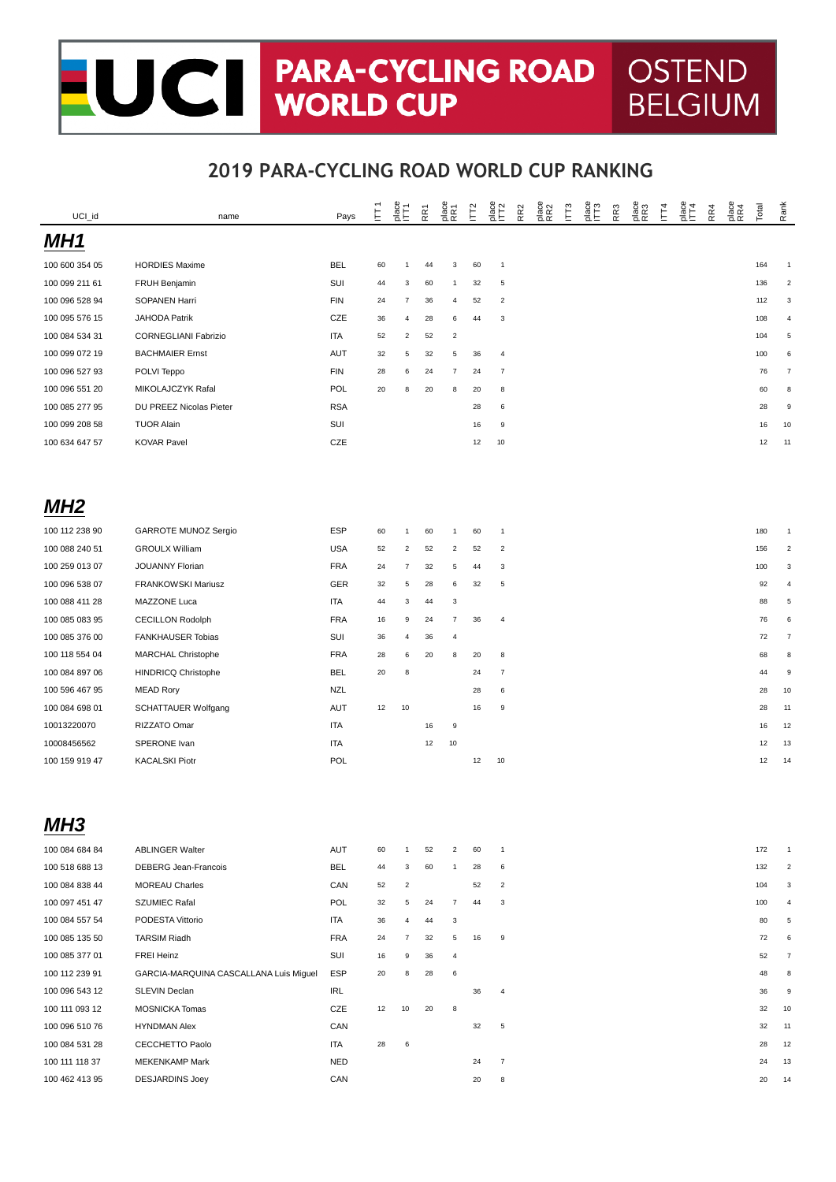#### UCI PARA-CYCLING ROAD **OSTEND** Ξ **BELGIUM**

| UCI_id          | name                                   | Pays       | E  | $rac{8}{2}$    | RF1 | place<br>RR1            | <b>F<sub>2</sub></b> | place<br>IT2            | RR <sub>2</sub> | place<br>RR2 | IЩ3 | place<br>ITT3 | RR <sub>3</sub> | place<br>RR3 | IГ4 | $rac{6}{114}$ | RR4 | place<br>RR4 | Total | Rank                    |
|-----------------|----------------------------------------|------------|----|----------------|-----|-------------------------|----------------------|-------------------------|-----------------|--------------|-----|---------------|-----------------|--------------|-----|---------------|-----|--------------|-------|-------------------------|
| MH <sub>1</sub> |                                        |            |    |                |     |                         |                      |                         |                 |              |     |               |                 |              |     |               |     |              |       |                         |
| 100 600 354 05  | <b>HORDIES Maxime</b>                  | <b>BEL</b> | 60 | $\mathbf{1}$   | 44  | 3                       | 60                   | $\mathbf{1}$            |                 |              |     |               |                 |              |     |               |     |              | 164   | $\overline{1}$          |
| 100 099 211 61  | FRUH Benjamin                          | SUI        | 44 | 3              | 60  | $\mathbf{1}$            | 32                   | 5                       |                 |              |     |               |                 |              |     |               |     |              | 136   | $\overline{\mathbf{c}}$ |
| 100 096 528 94  | SOPANEN Harri                          | <b>FIN</b> | 24 | $\overline{7}$ | 36  | 4                       | 52                   | $\overline{2}$          |                 |              |     |               |                 |              |     |               |     |              | 112   | 3                       |
| 100 095 576 15  | <b>JAHODA Patrik</b>                   | CZE        | 36 | 4              | 28  | 6                       | 44                   | 3                       |                 |              |     |               |                 |              |     |               |     |              | 108   | 4                       |
| 100 084 534 31  | <b>CORNEGLIANI Fabrizio</b>            | <b>ITA</b> | 52 | $\overline{c}$ | 52  | $\overline{2}$          |                      |                         |                 |              |     |               |                 |              |     |               |     |              | 104   | 5                       |
| 100 099 072 19  | <b>BACHMAIER Ernst</b>                 | <b>AUT</b> | 32 | 5              | 32  | $\overline{5}$          | 36                   | 4                       |                 |              |     |               |                 |              |     |               |     |              | 100   | 6                       |
| 100 096 527 93  | POLVI Teppo                            | <b>FIN</b> | 28 | 6              | 24  | $\overline{7}$          | 24                   | $\overline{7}$          |                 |              |     |               |                 |              |     |               |     |              | 76    | $\overline{7}$          |
| 100 096 551 20  | MIKOLAJCZYK Rafal                      | POL        | 20 | 8              | 20  | 8                       | 20                   | 8                       |                 |              |     |               |                 |              |     |               |     |              | 60    | 8                       |
| 100 085 277 95  | DU PREEZ Nicolas Pieter                | <b>RSA</b> |    |                |     |                         | 28                   | 6                       |                 |              |     |               |                 |              |     |               |     |              | 28    | 9                       |
| 100 099 208 58  | <b>TUOR Alain</b>                      | SUI        |    |                |     |                         | 16                   | 9                       |                 |              |     |               |                 |              |     |               |     |              | 16    | 10                      |
| 100 634 647 57  | <b>KOVAR Pavel</b>                     | CZE        |    |                |     |                         | 12                   | 10                      |                 |              |     |               |                 |              |     |               |     |              | 12    | 11                      |
|                 |                                        |            |    |                |     |                         |                      |                         |                 |              |     |               |                 |              |     |               |     |              |       |                         |
| MH <sub>2</sub> |                                        |            |    |                |     |                         |                      |                         |                 |              |     |               |                 |              |     |               |     |              |       |                         |
| 100 112 238 90  | GARROTE MUNOZ Sergio                   | <b>ESP</b> | 60 | 1              | 60  | $\mathbf{1}$            | 60                   | $\mathbf{1}$            |                 |              |     |               |                 |              |     |               |     |              | 180   |                         |
| 100 088 240 51  | <b>GROULX William</b>                  | <b>USA</b> | 52 | $\overline{2}$ | 52  | $\sqrt{2}$              | 52                   | $\overline{\mathbf{c}}$ |                 |              |     |               |                 |              |     |               |     |              | 156   | 2                       |
| 100 259 013 07  | JOUANNY Florian                        | <b>FRA</b> | 24 | 7              | 32  | 5                       | 44                   | 3                       |                 |              |     |               |                 |              |     |               |     |              | 100   | 3                       |
| 100 096 538 07  | <b>FRANKOWSKI Mariusz</b>              | GER        | 32 | 5              | 28  | 6                       | 32                   | 5                       |                 |              |     |               |                 |              |     |               |     |              | 92    | $\overline{4}$          |
| 100 088 411 28  | MAZZONE Luca                           | ITA        | 44 | 3              | 44  | 3                       |                      |                         |                 |              |     |               |                 |              |     |               |     |              | 88    | $\,$ 5 $\,$             |
| 100 085 083 95  | <b>CECILLON Rodolph</b>                | <b>FRA</b> | 16 | 9              | 24  | $\overline{7}$          | 36                   | 4                       |                 |              |     |               |                 |              |     |               |     |              | 76    | 6                       |
| 100 085 376 00  | FANKHAUSER Tobias                      | SUI        | 36 | 4              | 36  | $\sqrt{4}$              |                      |                         |                 |              |     |               |                 |              |     |               |     |              | 72    | $\overline{7}$          |
| 100 118 554 04  | MARCHAL Christophe                     | <b>FRA</b> | 28 | 6              | 20  | 8                       | 20                   | 8                       |                 |              |     |               |                 |              |     |               |     |              | 68    | 8                       |
| 100 084 897 06  | <b>HINDRICQ Christophe</b>             | <b>BEL</b> | 20 | 8              |     |                         | 24                   | $\overline{7}$          |                 |              |     |               |                 |              |     |               |     |              | 44    | 9                       |
| 100 596 467 95  | <b>MEAD Rory</b>                       | <b>NZL</b> |    |                |     |                         | 28                   | 6                       |                 |              |     |               |                 |              |     |               |     |              | 28    | 10                      |
| 100 084 698 01  | <b>SCHATTAUER Wolfgang</b>             | AUT        | 12 | 10             |     |                         | 16                   | 9                       |                 |              |     |               |                 |              |     |               |     |              | 28    | 11                      |
| 10013220070     | RIZZATO Omar                           | <b>ITA</b> |    |                | 16  | 9                       |                      |                         |                 |              |     |               |                 |              |     |               |     |              | 16    | 12                      |
| 10008456562     | SPERONE Ivan                           | <b>ITA</b> |    |                | 12  | 10                      |                      |                         |                 |              |     |               |                 |              |     |               |     |              | 12    | 13                      |
| 100 159 919 47  | <b>KACALSKI Piotr</b>                  | POL        |    |                |     |                         | 12                   | 10                      |                 |              |     |               |                 |              |     |               |     |              | 12    | 14                      |
|                 |                                        |            |    |                |     |                         |                      |                         |                 |              |     |               |                 |              |     |               |     |              |       |                         |
| MH3             |                                        |            |    |                |     |                         |                      |                         |                 |              |     |               |                 |              |     |               |     |              |       |                         |
| 100 084 684 84  | <b>ABLINGER Walter</b>                 | AUT        | 60 | $\mathbf{1}$   | 52  | $\overline{\mathbf{c}}$ | 60                   | $\overline{1}$          |                 |              |     |               |                 |              |     |               |     |              | 172   |                         |
| 100 518 688 13  | DEBERG Jean-Francois                   | <b>BEL</b> | 44 | 3              | 60  | $\mathbf{1}$            | 28                   | 6                       |                 |              |     |               |                 |              |     |               |     |              | 132   | $\overline{2}$          |
| 100 084 838 44  | <b>MOREAU Charles</b>                  | CAN        | 52 | $\overline{2}$ |     |                         | 52                   | $\overline{2}$          |                 |              |     |               |                 |              |     |               |     |              | 104   | 3                       |
| 100 097 451 47  | SZUMIEC Rafal                          | POL        | 32 | 5              | 24  | $\boldsymbol{7}$        | 44                   | 3                       |                 |              |     |               |                 |              |     |               |     |              | 100   | $\overline{4}$          |
| 100 084 557 54  | PODESTA Vittorio                       | ITA        | 36 | 4              | 44  | 3                       |                      |                         |                 |              |     |               |                 |              |     |               |     |              | 80    | 5                       |
| 100 085 135 50  | <b>TARSIM Riadh</b>                    | <b>FRA</b> | 24 | 7              | 32  | 5                       | 16                   | 9                       |                 |              |     |               |                 |              |     |               |     |              | 72    | 6                       |
| 100 085 377 01  | FREI Heinz                             | SUI        | 16 | 9              | 36  | 4                       |                      |                         |                 |              |     |               |                 |              |     |               |     |              | 52    | $\overline{7}$          |
| 100 112 239 91  | GARCIA-MARQUINA CASCALLANA Luis Miguel | ESP        | 20 | 8              | 28  | 6                       |                      |                         |                 |              |     |               |                 |              |     |               |     |              | 48    | 8                       |
| 100 096 543 12  | SLEVIN Declan                          | IRL        |    |                |     |                         | 36                   | 4                       |                 |              |     |               |                 |              |     |               |     |              | 36    | 9                       |
| 100 111 093 12  | <b>MOSNICKA Tomas</b>                  | CZE        | 12 | 10             | 20  | 8                       |                      |                         |                 |              |     |               |                 |              |     |               |     |              | 32    | 10                      |
| 100 096 510 76  | <b>HYNDMAN Alex</b>                    | CAN        |    |                |     |                         | 32                   | 5                       |                 |              |     |               |                 |              |     |               |     |              | 32    | 11                      |
| 100 084 531 28  | CECCHETTO Paolo                        | ITA        | 28 | 6              |     |                         |                      |                         |                 |              |     |               |                 |              |     |               |     |              | 28    | 12                      |
| 100 111 118 37  | <b>MEKENKAMP Mark</b>                  | NED        |    |                |     |                         | 24                   | $\overline{7}$          |                 |              |     |               |                 |              |     |               |     |              | 24    | 13                      |
| 100 462 413 95  | <b>DESJARDINS Joey</b>                 | CAN        |    |                |     |                         | 20                   | 8                       |                 |              |     |               |                 |              |     |               |     |              | 20    | 14                      |
|                 |                                        |            |    |                |     |                         |                      |                         |                 |              |     |               |                 |              |     |               |     |              |       |                         |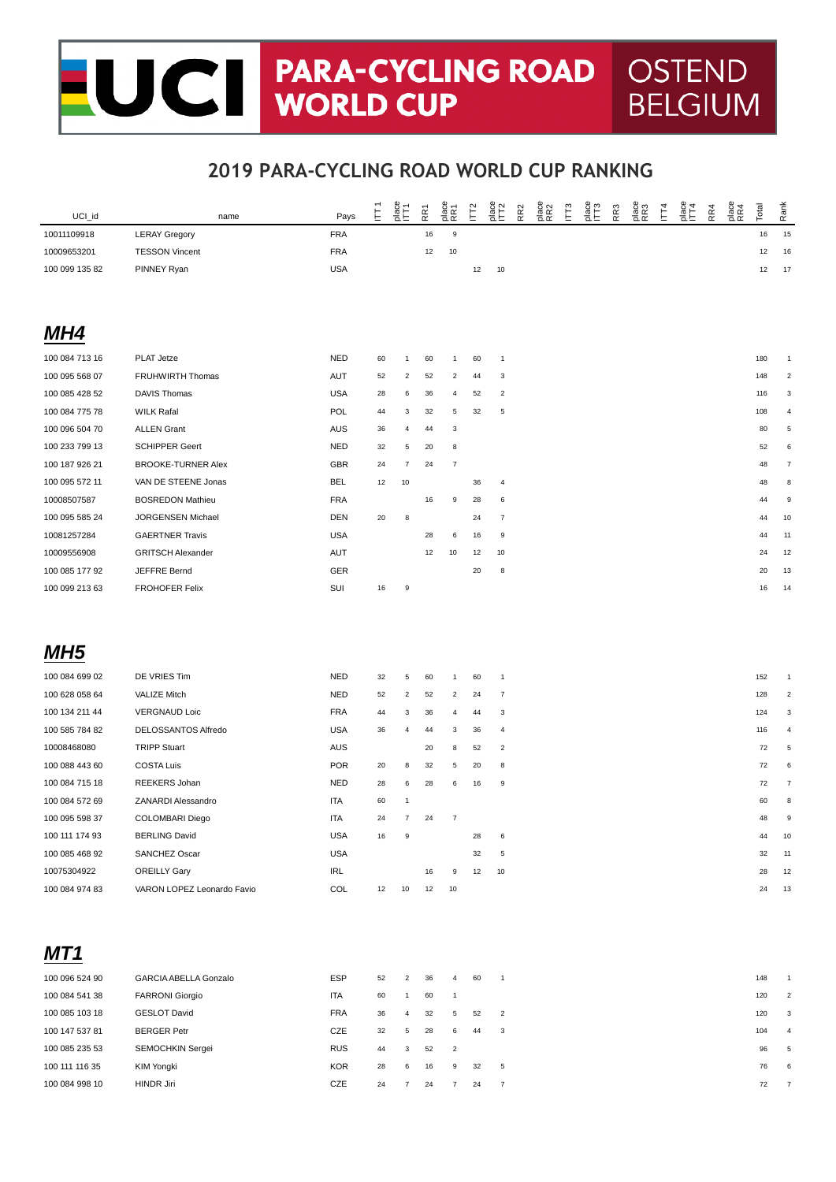# UCT PARA-CYCLING ROAD OSTEND<br>WORLD CUP BELGIUM **BELGIUM**

| UCI_id          | name                         | Pays       | E  | 흡는                      | RR1 | place<br>RR1            | $\tilde{\Gamma}$ | age<br>ET2              | RR <sub>2</sub> | place<br>RR2 | ΓÎ | RR <sub>3</sub> | place<br>RR3 | IЦ <sub>4</sub> | $rac{6}{2}$ | RR4 | place<br>RR4 | Total | Rank                     |
|-----------------|------------------------------|------------|----|-------------------------|-----|-------------------------|------------------|-------------------------|-----------------|--------------|----|-----------------|--------------|-----------------|-------------|-----|--------------|-------|--------------------------|
| 10011109918     | <b>LERAY Gregory</b>         | <b>FRA</b> |    |                         | 16  | $\mathsf g$             |                  |                         |                 |              |    |                 |              |                 |             |     |              | 16    | 15                       |
| 10009653201     | <b>TESSON Vincent</b>        | <b>FRA</b> |    |                         | 12  | 10                      |                  |                         |                 |              |    |                 |              |                 |             |     |              | 12    | 16                       |
| 100 099 135 82  | PINNEY Ryan                  | <b>USA</b> |    |                         |     |                         | 12               | 10                      |                 |              |    |                 |              |                 |             |     |              | 12    | 17                       |
|                 |                              |            |    |                         |     |                         |                  |                         |                 |              |    |                 |              |                 |             |     |              |       |                          |
|                 |                              |            |    |                         |     |                         |                  |                         |                 |              |    |                 |              |                 |             |     |              |       |                          |
| MH4             |                              |            |    |                         |     |                         |                  |                         |                 |              |    |                 |              |                 |             |     |              |       |                          |
| 100 084 713 16  | PLAT Jetze                   | <b>NED</b> | 60 | 1                       | 60  | 1                       | 60               | $\mathbf{1}$            |                 |              |    |                 |              |                 |             |     |              | 180   | $\overline{1}$           |
| 100 095 568 07  | FRUHWIRTH Thomas             | AUT        | 52 | $\overline{2}$          | 52  | $\overline{c}$          | 44               | 3                       |                 |              |    |                 |              |                 |             |     |              | 148   | 2                        |
| 100 085 428 52  | <b>DAVIS Thomas</b>          | <b>USA</b> | 28 | 6                       | 36  | $\overline{4}$          | 52               | $\overline{2}$          |                 |              |    |                 |              |                 |             |     |              | 116   | 3                        |
| 100 084 775 78  | <b>WILK Rafal</b>            | POL        | 44 | 3                       | 32  | 5                       | 32               | 5                       |                 |              |    |                 |              |                 |             |     |              | 108   | $\overline{4}$           |
| 100 096 504 70  | <b>ALLEN Grant</b>           | AUS        | 36 | 4                       | 44  | 3                       |                  |                         |                 |              |    |                 |              |                 |             |     |              | 80    | 5                        |
| 100 233 799 13  | <b>SCHIPPER Geert</b>        | <b>NED</b> | 32 | 5                       | 20  | 8                       |                  |                         |                 |              |    |                 |              |                 |             |     |              | 52    | 6                        |
| 100 187 926 21  | <b>BROOKE-TURNER Alex</b>    | <b>GBR</b> | 24 | 7                       | 24  | $\overline{7}$          |                  |                         |                 |              |    |                 |              |                 |             |     |              | 48    | 7                        |
| 100 095 572 11  | VAN DE STEENE Jonas          | <b>BEL</b> | 12 | $10$                    |     |                         | 36               | 4                       |                 |              |    |                 |              |                 |             |     |              | 48    | 8                        |
| 10008507587     | <b>BOSREDON Mathieu</b>      | <b>FRA</b> |    |                         | 16  | 9                       | 28               | 6                       |                 |              |    |                 |              |                 |             |     |              | 44    | 9                        |
| 100 095 585 24  | JORGENSEN Michael            | DEN        | 20 | 8                       |     |                         | 24               | $\overline{7}$          |                 |              |    |                 |              |                 |             |     |              | 44    | 10                       |
| 10081257284     | <b>GAERTNER Travis</b>       | <b>USA</b> |    |                         | 28  | 6                       | 16               | 9                       |                 |              |    |                 |              |                 |             |     |              | 44    | 11                       |
| 10009556908     | <b>GRITSCH Alexander</b>     | AUT        |    |                         | 12  | $10$                    | 12               | 10                      |                 |              |    |                 |              |                 |             |     |              | 24    | 12                       |
| 100 085 177 92  | JEFFRE Bernd                 | GER        |    |                         |     |                         | 20               | 8                       |                 |              |    |                 |              |                 |             |     |              | 20    | 13                       |
| 100 099 213 63  | <b>FROHOFER Felix</b>        | SUI        | 16 | 9                       |     |                         |                  |                         |                 |              |    |                 |              |                 |             |     |              | 16    | 14                       |
|                 |                              |            |    |                         |     |                         |                  |                         |                 |              |    |                 |              |                 |             |     |              |       |                          |
|                 |                              |            |    |                         |     |                         |                  |                         |                 |              |    |                 |              |                 |             |     |              |       |                          |
| MH <sub>5</sub> |                              |            |    |                         |     |                         |                  |                         |                 |              |    |                 |              |                 |             |     |              |       |                          |
| 100 084 699 02  | DE VRIES Tim                 | <b>NED</b> | 32 | 5                       | 60  | 1                       | 60               | $\mathbf{1}$            |                 |              |    |                 |              |                 |             |     |              | 152   |                          |
| 100 628 058 64  | <b>VALIZE Mitch</b>          | <b>NED</b> | 52 | $\overline{\mathbf{c}}$ | 52  | $\overline{2}$          | 24               | $\overline{7}$          |                 |              |    |                 |              |                 |             |     |              | 128   | $\overline{2}$           |
| 100 134 211 44  | <b>VERGNAUD Loic</b>         | <b>FRA</b> | 44 | 3                       | 36  | 4                       | 44               | 3                       |                 |              |    |                 |              |                 |             |     |              | 124   | 3                        |
| 100 585 784 82  | DELOSSANTOS Alfredo          | <b>USA</b> | 36 | 4                       | 44  | 3                       | 36               | 4                       |                 |              |    |                 |              |                 |             |     |              | 116   | $\overline{4}$           |
| 10008468080     | <b>TRIPP Stuart</b>          | <b>AUS</b> |    |                         | 20  | 8                       | 52               | $\overline{2}$          |                 |              |    |                 |              |                 |             |     |              | 72    | 5                        |
| 100 088 443 60  | <b>COSTA Luis</b>            | <b>POR</b> | 20 | 8                       | 32  | 5                       | 20               | 8                       |                 |              |    |                 |              |                 |             |     |              | 72    | 6                        |
| 100 084 715 18  | REEKERS Johan                | <b>NED</b> | 28 | 6                       | 28  | 6                       | 16               | 9                       |                 |              |    |                 |              |                 |             |     |              | 72    | $\overline{7}$           |
| 100 084 572 69  | <b>ZANARDI Alessandro</b>    | <b>ITA</b> | 60 | $\mathbf{1}$            |     |                         |                  |                         |                 |              |    |                 |              |                 |             |     |              | 60    | 8                        |
| 100 095 598 37  | COLOMBARI Diego              | ITA        | 24 | $\overline{7}$          | 24  | $\boldsymbol{7}$        |                  |                         |                 |              |    |                 |              |                 |             |     |              | 48    | 9                        |
| 100 111 174 93  | <b>BERLING David</b>         | <b>USA</b> | 16 | 9                       |     |                         | 28               | 6                       |                 |              |    |                 |              |                 |             |     |              | 44    | $10$                     |
| 100 085 468 92  | SANCHEZ Oscar                | <b>USA</b> |    |                         |     |                         | 32               | 5                       |                 |              |    |                 |              |                 |             |     |              | 32    | 11                       |
| 10075304922     | <b>OREILLY Gary</b>          | IRL        |    |                         | 16  | 9                       | 12               | 10                      |                 |              |    |                 |              |                 |             |     |              | 28    | 12                       |
| 100 084 974 83  | VARON LOPEZ Leonardo Favio   | COL        | 12 | 10                      | 12  | 10                      |                  |                         |                 |              |    |                 |              |                 |             |     |              | 24    | 13                       |
|                 |                              |            |    |                         |     |                         |                  |                         |                 |              |    |                 |              |                 |             |     |              |       |                          |
|                 |                              |            |    |                         |     |                         |                  |                         |                 |              |    |                 |              |                 |             |     |              |       |                          |
| MT <sub>1</sub> |                              |            |    |                         |     |                         |                  |                         |                 |              |    |                 |              |                 |             |     |              |       |                          |
| 100 096 524 90  | <b>GARCIA ABELLA Gonzalo</b> | <b>ESP</b> | 52 | $\overline{\mathbf{c}}$ | 36  | 4                       | 60               | $\overline{1}$          |                 |              |    |                 |              |                 |             |     |              | 148   |                          |
| 100 084 541 38  | <b>FARRONI Giorgio</b>       | ITA        | 60 | 1                       | 60  | $\overline{1}$          |                  |                         |                 |              |    |                 |              |                 |             |     |              | 120   | $\overline{\phantom{a}}$ |
| 100 085 103 18  | <b>GESLOT David</b>          | FRA        | 36 | 4                       | 32  | 5                       | 52               | $\overline{\mathbf{c}}$ |                 |              |    |                 |              |                 |             |     |              | 120   | 3                        |
| 100 147 537 81  | <b>BERGER Petr</b>           | CZE        | 32 | 5                       | 28  | 6                       | 44               | 3                       |                 |              |    |                 |              |                 |             |     |              | 104   | $\overline{4}$           |
| 100 085 235 53  | SEMOCHKIN Sergei             | <b>RUS</b> | 44 | 3                       | 52  | $\overline{\mathbf{c}}$ |                  |                         |                 |              |    |                 |              |                 |             |     |              | 96    | 5                        |
| 100 111 116 35  | <b>KIM Yongki</b>            | <b>KOR</b> | 28 | 6                       | 16  | 9                       | 32               | $\,$ 5 $\,$             |                 |              |    |                 |              |                 |             |     |              | 76    | 6                        |
| 100 084 998 10  | HINDR Jiri                   | CZE        | 24 | $\overline{7}$          | 24  | $\overline{7}$          | 24               | $\overline{7}$          |                 |              |    |                 |              |                 |             |     |              | 72    | $\overline{7}$           |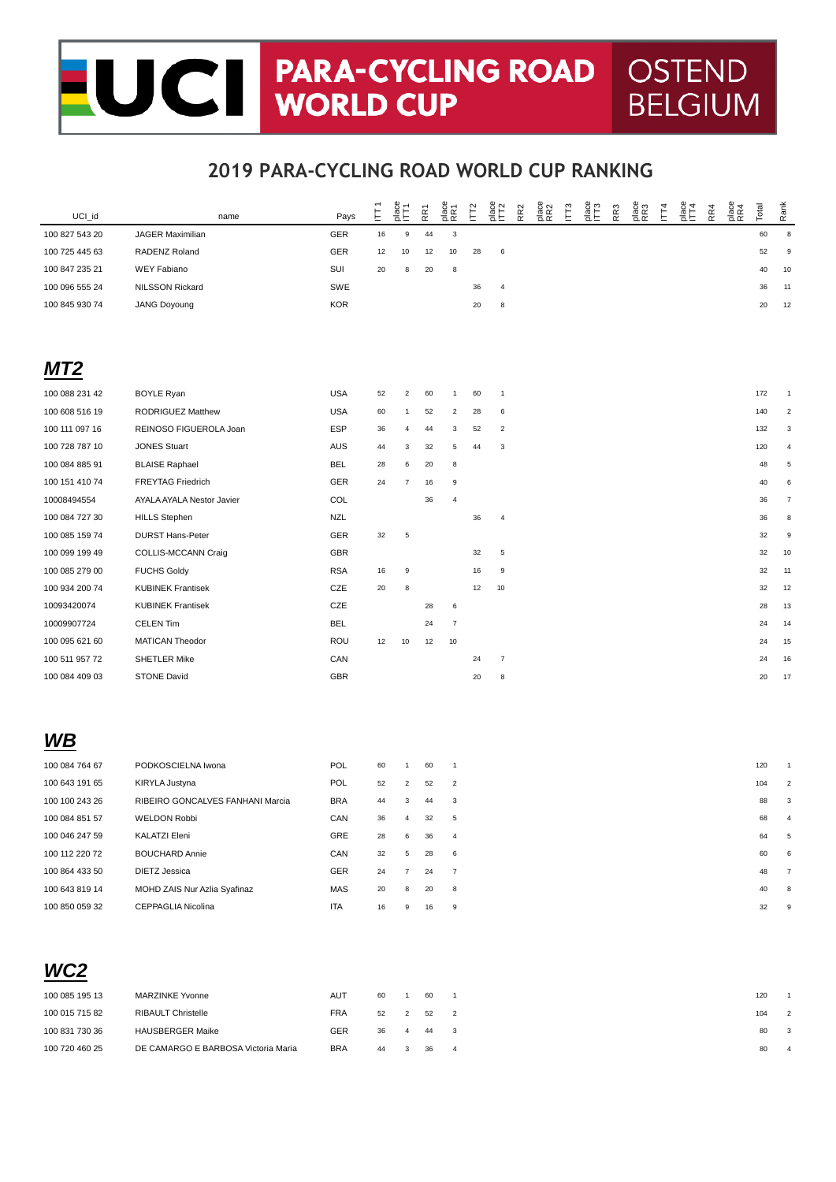# UCT PARA-CYCLING ROAD OSTEND<br>WORLD CUP BELGIUM **BELGIUM**

### **2019 PARA-CYCLING ROAD WORLD CUP RANKING**

| UCI_id         | name                             | Pays       | $\tilde{\mathsf{E}}$ | place<br>ITT <sub>1</sub> | RR1 | place<br>RR1   | IF <sub>2</sub> | place<br>ITT2    | RR <sub>2</sub> | place<br>RR2 | E | alace<br>ITT3 | RR3 | place<br>RR3 | $\overline{\Gamma}$ | $rac{6}{2}$ | RR4 | place<br>RR4 | Total | Rank                      |
|----------------|----------------------------------|------------|----------------------|---------------------------|-----|----------------|-----------------|------------------|-----------------|--------------|---|---------------|-----|--------------|---------------------|-------------|-----|--------------|-------|---------------------------|
| 100 827 543 20 | <b>JAGER Maximilian</b>          | GER        | 16                   | $\boldsymbol{9}$          | 44  | 3              |                 |                  |                 |              |   |               |     |              |                     |             |     |              | 60    | $\,$ 8 $\,$               |
| 100 725 445 63 | RADENZ Roland                    | GER        | 12                   | 10                        | 12  | 10             | 28              | $\,6\,$          |                 |              |   |               |     |              |                     |             |     |              | 52    | $\mathsf g$               |
| 100 847 235 21 | <b>WEY Fabiano</b>               | SUI        | 20                   | 8                         | 20  | 8              |                 |                  |                 |              |   |               |     |              |                     |             |     |              | 40    | 10                        |
| 100 096 555 24 | NILSSON Rickard                  | SWE        |                      |                           |     |                | 36              | $\overline{4}$   |                 |              |   |               |     |              |                     |             |     |              | 36    | 11                        |
| 100 845 930 74 | <b>JANG Doyoung</b>              | <b>KOR</b> |                      |                           |     |                | 20              | 8                |                 |              |   |               |     |              |                     |             |     |              | 20    | 12                        |
|                |                                  |            |                      |                           |     |                |                 |                  |                 |              |   |               |     |              |                     |             |     |              |       |                           |
| MT2            |                                  |            |                      |                           |     |                |                 |                  |                 |              |   |               |     |              |                     |             |     |              |       |                           |
| 100 088 231 42 | <b>BOYLE Ryan</b>                | <b>USA</b> | 52                   | $\overline{c}$            | 60  | 1              | 60              | $\overline{1}$   |                 |              |   |               |     |              |                     |             |     |              | 172   | $\mathbf{1}$              |
| 100 608 516 19 | RODRIGUEZ Matthew                | <b>USA</b> | 60                   | $\mathbf{1}$              | 52  | $\overline{c}$ | 28              | 6                |                 |              |   |               |     |              |                     |             |     |              | 140   | $\sqrt{2}$                |
| 100 111 097 16 | REINOSO FIGUEROLA Joan           | <b>ESP</b> | 36                   | $\overline{4}$            | 44  | 3              | 52              | $\overline{2}$   |                 |              |   |               |     |              |                     |             |     |              | 132   | $\ensuremath{\mathsf{3}}$ |
| 100 728 787 10 | <b>JONES Stuart</b>              | <b>AUS</b> | 44                   | 3                         | 32  | 5              | 44              | 3                |                 |              |   |               |     |              |                     |             |     |              | 120   | $\overline{4}$            |
| 100 084 885 91 | <b>BLAISE Raphael</b>            | <b>BEL</b> | 28                   | 6                         | 20  | 8              |                 |                  |                 |              |   |               |     |              |                     |             |     |              | 48    | $\,$ 5 $\,$               |
| 100 151 410 74 | <b>FREYTAG Friedrich</b>         | GER        | 24                   | $\overline{7}$            | 16  | 9              |                 |                  |                 |              |   |               |     |              |                     |             |     |              | 40    | 6                         |
| 10008494554    | AYALA AYALA Nestor Javier        | COL        |                      |                           | 36  | 4              |                 |                  |                 |              |   |               |     |              |                     |             |     |              | 36    | $\overline{7}$            |
| 100 084 727 30 | <b>HILLS Stephen</b>             | <b>NZL</b> |                      |                           |     |                | 36              | $\overline{4}$   |                 |              |   |               |     |              |                     |             |     |              | 36    | $\bf8$                    |
| 100 085 159 74 | <b>DURST Hans-Peter</b>          | GER        | 32                   | $\,$ 5 $\,$               |     |                |                 |                  |                 |              |   |               |     |              |                     |             |     |              | 32    | $\mathsf g$               |
| 100 099 199 49 | COLLIS-MCCANN Craig              | <b>GBR</b> |                      |                           |     |                | 32              | $\,$ 5 $\,$      |                 |              |   |               |     |              |                     |             |     |              | 32    | 10                        |
| 100 085 279 00 | <b>FUCHS Goldy</b>               | <b>RSA</b> | 16                   | $\boldsymbol{9}$          |     |                | 16              | $\boldsymbol{9}$ |                 |              |   |               |     |              |                     |             |     |              | 32    | 11                        |
| 100 934 200 74 | <b>KUBINEK Frantisek</b>         | CZE        | 20                   | 8                         |     |                | 12              | 10               |                 |              |   |               |     |              |                     |             |     |              | 32    | 12                        |
| 10093420074    | <b>KUBINEK Frantisek</b>         | CZE        |                      |                           | 28  | 6              |                 |                  |                 |              |   |               |     |              |                     |             |     |              | 28    | 13                        |
| 10009907724    | CELEN Tim                        | <b>BEL</b> |                      |                           | 24  | $\overline{7}$ |                 |                  |                 |              |   |               |     |              |                     |             |     |              | 24    | 14                        |
| 100 095 621 60 | MATICAN Theodor                  | ROU        | 12                   | 10                        | 12  | 10             |                 |                  |                 |              |   |               |     |              |                     |             |     |              | 24    | 15                        |
| 100 511 957 72 | <b>SHETLER Mike</b>              | CAN        |                      |                           |     |                | 24              | $\boldsymbol{7}$ |                 |              |   |               |     |              |                     |             |     |              | 24    | 16                        |
| 100 084 409 03 | <b>STONE David</b>               | GBR        |                      |                           |     |                | 20              | 8                |                 |              |   |               |     |              |                     |             |     |              | 20    | 17                        |
|                |                                  |            |                      |                           |     |                |                 |                  |                 |              |   |               |     |              |                     |             |     |              |       |                           |
|                |                                  |            |                      |                           |     |                |                 |                  |                 |              |   |               |     |              |                     |             |     |              |       |                           |
| WB             |                                  |            |                      |                           |     |                |                 |                  |                 |              |   |               |     |              |                     |             |     |              |       |                           |
| 100 084 764 67 | PODKOSCIELNA Iwona               | POL        | 60                   | $\mathbf{1}$              | 60  | $\mathbf{1}$   |                 |                  |                 |              |   |               |     |              |                     |             |     |              | 120   | $\overline{1}$            |
| 100 643 191 65 | KIRYLA Justyna                   | POL        | 52                   | $\overline{2}$            | 52  | $\overline{c}$ |                 |                  |                 |              |   |               |     |              |                     |             |     |              | 104   | $\sqrt{2}$                |
| 100 100 243 26 | RIBEIRO GONCALVES FANHANI Marcia | <b>BRA</b> | 44                   | 3                         | 44  | 3              |                 |                  |                 |              |   |               |     |              |                     |             |     |              | 88    | 3                         |

|                |                              | ---        |    |    |    |                 |    |  |
|----------------|------------------------------|------------|----|----|----|-----------------|----|--|
| 100 084 851 57 | <b>WELDON Robbi</b>          | CAN        | 36 | 4  | 32 | $5^{\circ}$     | 68 |  |
| 100 046 247 59 | KALATZI Eleni                | GRE        | 28 | 6. | 36 | $\overline{4}$  | 64 |  |
| 100 112 220 72 | <b>BOUCHARD Annie</b>        | CAN        | 32 | 5  | 28 | $6\overline{6}$ | 60 |  |
| 100 864 433 50 | DIETZ Jessica                | <b>GER</b> | 24 |    | 24 | $\overline{7}$  | 48 |  |
| 100 643 819 14 | MOHD ZAIS Nur Azlia Syafinaz | MAS        | 20 | 8  | 20 | 8               | 40 |  |
| 100 850 059 32 | <b>CEPPAGLIA Nicolina</b>    | <b>ITA</b> | 16 | 9  | 16 | -9              | 32 |  |

| WC <sub>2</sub><br>and the control of the control of the |                           |            |      |                 |  |
|----------------------------------------------------------|---------------------------|------------|------|-----------------|--|
| 100 085 195 13                                           | <b>MARZINKE Yvonne</b>    | <b>AUT</b> | 60 1 | 60 1            |  |
| 100 015 715 82                                           | <b>RIBAULT Christelle</b> | <b>FRA</b> |      | 52   2   52   2 |  |
| .                                                        | . <b>.</b>                | $  -$      |      |                 |  |

 $\mathbf{W}$ 

100 831 730 36 HAUSBERGER Maike GER 36 4 44 3 80 3 80 3 100 720 460 25 DE CAMARGO E BARBOSA Victoria Maria BRA 44 3 36 4 80 4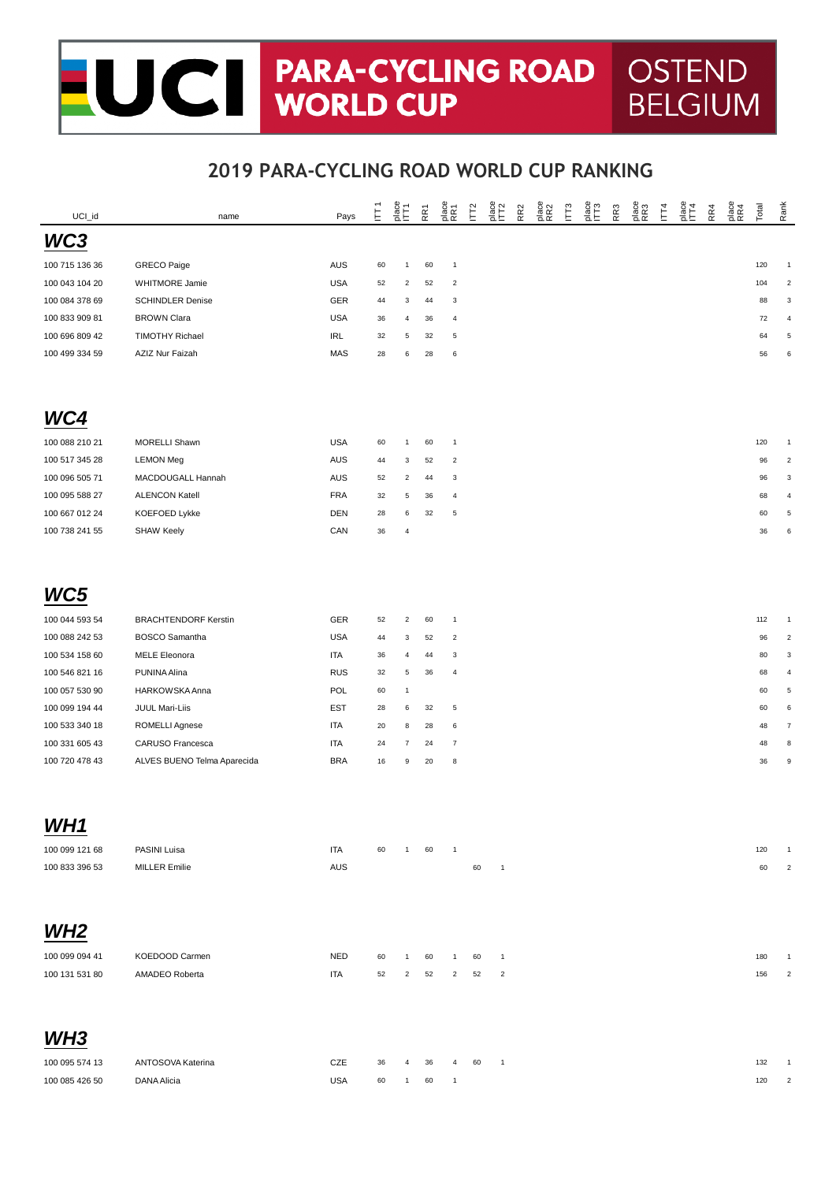#### UCI PARA-CYCLING ROAD **OSTEND** Ξ **BELGIUM**

| UCI_id          | name                        | Pays              | Ė  | $\frac{p}{n+1}$ | RR1 | place<br>RR1              | $\tilde{E}$ | $\frac{1}{2}$              | RR <sub>2</sub> | place<br>RR2 | $\overline{\mathbb{F}}$ | place<br>ITT3 | RR <sub>3</sub> | place<br>RR3 | $\overline{\Gamma}$ | place<br>IT4 | RR4 | place<br>RR4 | Total      | Rank                    |
|-----------------|-----------------------------|-------------------|----|-----------------|-----|---------------------------|-------------|----------------------------|-----------------|--------------|-------------------------|---------------|-----------------|--------------|---------------------|--------------|-----|--------------|------------|-------------------------|
| WC3             |                             |                   |    |                 |     |                           |             |                            |                 |              |                         |               |                 |              |                     |              |     |              |            |                         |
| 100 715 136 36  | <b>GRECO Paige</b>          | AUS               | 60 | $\mathbf{1}$    | 60  | $\overline{1}$            |             |                            |                 |              |                         |               |                 |              |                     |              |     |              | 120        | -1                      |
| 100 043 104 20  | WHITMORE Jamie              | <b>USA</b>        | 52 | $\overline{a}$  | 52  | $\overline{2}$            |             |                            |                 |              |                         |               |                 |              |                     |              |     |              | 104        | $\overline{\mathbf{c}}$ |
| 100 084 378 69  | <b>SCHINDLER Denise</b>     | GER               | 44 | 3               | 44  | $\mathsf 3$               |             |                            |                 |              |                         |               |                 |              |                     |              |     |              | 88         | 3                       |
| 100 833 909 81  | <b>BROWN Clara</b>          | USA               | 36 | 4               | 36  | $\overline{4}$            |             |                            |                 |              |                         |               |                 |              |                     |              |     |              | 72         | 4                       |
| 100 696 809 42  | <b>TIMOTHY Richael</b>      | <b>IRL</b>        | 32 | 5               | 32  | $\overline{5}$            |             |                            |                 |              |                         |               |                 |              |                     |              |     |              | 64         | $\,$ 5 $\,$             |
| 100 499 334 59  | AZIZ Nur Faizah             | MAS               | 28 | 6               | 28  | $\boldsymbol{6}$          |             |                            |                 |              |                         |               |                 |              |                     |              |     |              | 56         | 6                       |
|                 |                             |                   |    |                 |     |                           |             |                            |                 |              |                         |               |                 |              |                     |              |     |              |            |                         |
| WC4             |                             |                   |    |                 |     |                           |             |                            |                 |              |                         |               |                 |              |                     |              |     |              |            |                         |
| 100 088 210 21  | <b>MORELLI Shawn</b>        | USA               | 60 | $\mathbf{1}$    | 60  | $\overline{1}$            |             |                            |                 |              |                         |               |                 |              |                     |              |     |              | 120        | -1                      |
| 100 517 345 28  | <b>LEMON Meg</b>            | AUS               | 44 | 3               | 52  | $\overline{2}$            |             |                            |                 |              |                         |               |                 |              |                     |              |     |              | 96         | 2                       |
| 100 096 505 71  | MACDOUGALL Hannah           | AUS               | 52 | $\overline{2}$  | 44  | 3                         |             |                            |                 |              |                         |               |                 |              |                     |              |     |              | 96         | 3                       |
| 100 095 588 27  | <b>ALENCON Katell</b>       | FRA               | 32 | 5               | 36  | $\overline{4}$            |             |                            |                 |              |                         |               |                 |              |                     |              |     |              | 68         | 4                       |
| 100 667 012 24  | KOEFOED Lykke               | <b>DEN</b>        | 28 | 6               | 32  | $\,$ 5 $\,$               |             |                            |                 |              |                         |               |                 |              |                     |              |     |              | 60         | 5                       |
| 100 738 241 55  | <b>SHAW Keely</b>           | CAN               | 36 | $\overline{4}$  |     |                           |             |                            |                 |              |                         |               |                 |              |                     |              |     |              | 36         | 6                       |
|                 |                             |                   |    |                 |     |                           |             |                            |                 |              |                         |               |                 |              |                     |              |     |              |            |                         |
| WC5             |                             |                   |    |                 |     |                           |             |                            |                 |              |                         |               |                 |              |                     |              |     |              |            |                         |
| 100 044 593 54  | <b>BRACHTENDORF Kerstin</b> | GER               | 52 | $\overline{2}$  | 60  | $\overline{1}$            |             |                            |                 |              |                         |               |                 |              |                     |              |     |              | 112        | $\overline{1}$          |
| 100 088 242 53  | <b>BOSCO Samantha</b>       | <b>USA</b>        | 44 | 3               | 52  | $\overline{2}$            |             |                            |                 |              |                         |               |                 |              |                     |              |     |              | 96         | $\overline{2}$          |
| 100 534 158 60  | <b>MELE Eleonora</b>        | ITA               | 36 | 4               | 44  | $\ensuremath{\mathsf{3}}$ |             |                            |                 |              |                         |               |                 |              |                     |              |     |              | 80         | 3                       |
| 100 546 821 16  | PUNINA Alina                | <b>RUS</b>        | 32 | 5               | 36  | $\overline{4}$            |             |                            |                 |              |                         |               |                 |              |                     |              |     |              | 68         | 4                       |
| 100 057 530 90  | HARKOWSKA Anna              | POL               | 60 | $\mathbf{1}$    |     |                           |             |                            |                 |              |                         |               |                 |              |                     |              |     |              | 60         | $\,$ 5 $\,$             |
| 100 099 194 44  | JUUL Mari-Liis              | <b>EST</b>        | 28 | 6               | 32  | $\,$ 5 $\,$               |             |                            |                 |              |                         |               |                 |              |                     |              |     |              | 60         | 6                       |
| 100 533 340 18  | ROMELLI Agnese              | <b>ITA</b>        | 20 | 8               | 28  | 6                         |             |                            |                 |              |                         |               |                 |              |                     |              |     |              | 48         | $\overline{7}$          |
| 100 331 605 43  | CARUSO Francesca            | ITA               | 24 | $\overline{7}$  | 24  | $\overline{7}$            |             |                            |                 |              |                         |               |                 |              |                     |              |     |              | 48         | 8                       |
| 100 720 478 43  | ALVES BUENO Telma Aparecida | <b>BRA</b>        | 16 | 9               | 20  | $\bf8$                    |             |                            |                 |              |                         |               |                 |              |                     |              |     |              | 36         | $\boldsymbol{9}$        |
|                 |                             |                   |    |                 |     |                           |             |                            |                 |              |                         |               |                 |              |                     |              |     |              |            |                         |
| <b>WH1</b>      |                             |                   |    |                 |     |                           |             |                            |                 |              |                         |               |                 |              |                     |              |     |              |            |                         |
| 100 099 121 68  | PASINI Luisa                | <b>ITA</b>        | 60 | $\mathbf{1}$    | 60  |                           |             |                            |                 |              |                         |               |                 |              |                     |              |     |              | 120        |                         |
| 100 833 396 53  | <b>MILLER Emilie</b>        | AUS               |    |                 |     |                           | 60          | $\overline{1}$             |                 |              |                         |               |                 |              |                     |              |     |              | 60         | $\overline{2}$          |
| WH <sub>2</sub> |                             |                   |    |                 |     |                           |             |                            |                 |              |                         |               |                 |              |                     |              |     |              |            |                         |
|                 |                             |                   |    |                 |     |                           |             |                            |                 |              |                         |               |                 |              |                     |              |     |              |            |                         |
| 100 099 094 41  | KOEDOOD Carmen              | <b>NED</b>        | 60 | 1               | 60  | $\mathbf{1}$              | 60          | $\overline{1}$             |                 |              |                         |               |                 |              |                     |              |     |              | 180        |                         |
| 100 131 531 80  | AMADEO Roberta              | <b>ITA</b>        | 52 | $\overline{c}$  | 52  | $\overline{2}$            | 52          | $\overline{2}$             |                 |              |                         |               |                 |              |                     |              |     |              | 156        |                         |
| WH <sub>3</sub> |                             |                   |    |                 |     |                           |             |                            |                 |              |                         |               |                 |              |                     |              |     |              |            |                         |
|                 |                             |                   |    |                 |     |                           |             |                            |                 |              |                         |               |                 |              |                     |              |     |              |            |                         |
| 100 095 574 13  | ANTOSOVA Katerina           | CZE<br><b>USA</b> | 36 | 4               | 36  | 4                         | 60          | $\overline{\phantom{0}}$ 1 |                 |              |                         |               |                 |              |                     |              |     |              | 132<br>120 | $\overline{1}$          |
| 100 085 426 50  | DANA Alicia                 |                   | 60 | $\mathbf{1}$    | 60  | $\mathbf{1}$              |             |                            |                 |              |                         |               |                 |              |                     |              |     |              |            | $\sqrt{2}$              |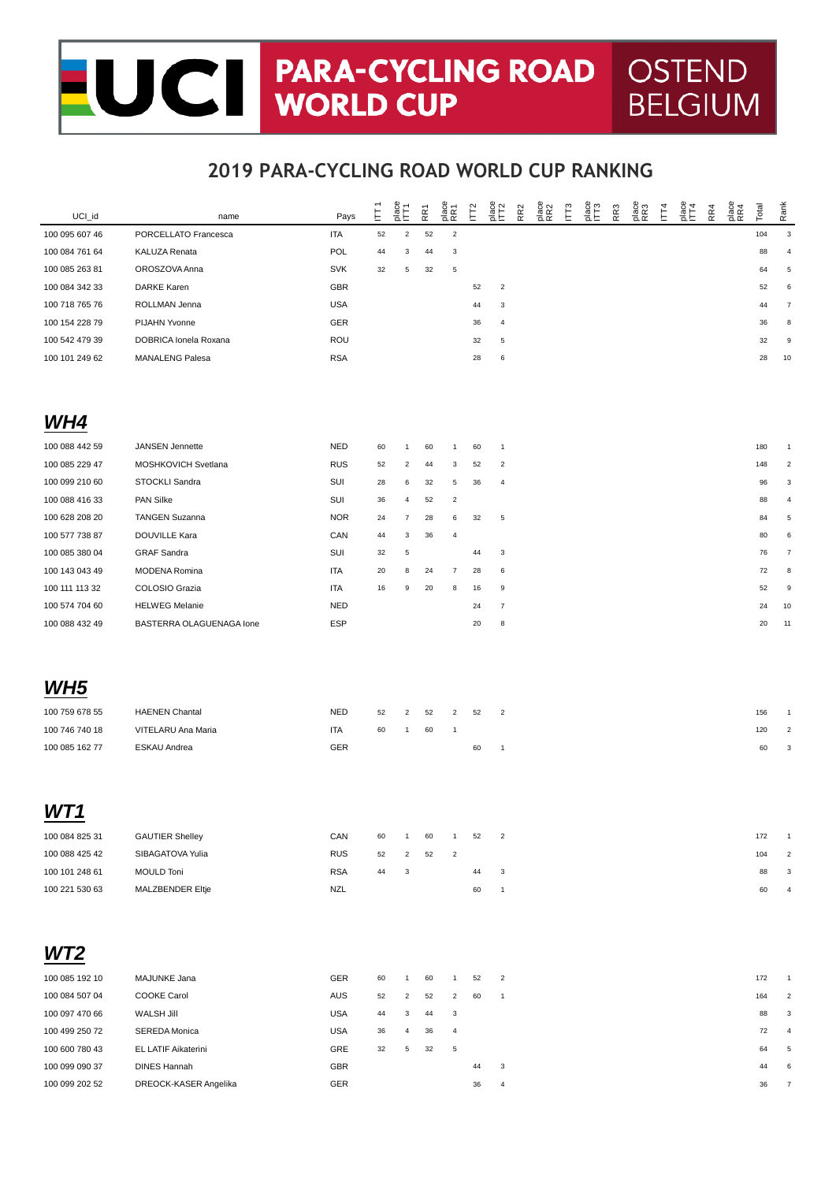# UCT PARA-CYCLING ROAD OSTEND<br>WORLD CUP BELGIUM **BELGIUM**

### **2019 PARA-CYCLING ROAD WORLD CUP RANKING**

| UCI_id          | name                     | Pays       | Ē      | $\frac{1}{2}$           | RR1 | place<br>RR1   | $\overline{\Gamma}$ | alee<br>ITT2              | RR <sub>2</sub> | place<br>RR2 | $\overline{\mathbb{E}}$ | ace<br>EF3 | RR3 | alace<br>RR3 | $\vec{E}$ | $rac{6}{\sqrt{11}}$ | RR4 | place<br>RR4 | Total | Rank           |
|-----------------|--------------------------|------------|--------|-------------------------|-----|----------------|---------------------|---------------------------|-----------------|--------------|-------------------------|------------|-----|--------------|-----------|---------------------|-----|--------------|-------|----------------|
| 100 095 607 46  | PORCELLATO Francesca     | ITA        | 52     | $\mathbf 2$             | 52  | $\overline{2}$ |                     |                           |                 |              |                         |            |     |              |           |                     |     |              | 104   | $\mathsf 3$    |
| 100 084 761 64  | KALUZA Renata            | POL        | 44     | 3                       | 44  | 3              |                     |                           |                 |              |                         |            |     |              |           |                     |     |              | 88    | $\overline{4}$ |
| 100 085 263 81  | OROSZOVA Anna            | <b>SVK</b> | 32     | 5                       | 32  | $\,$ 5 $\,$    |                     |                           |                 |              |                         |            |     |              |           |                     |     |              | 64    | 5              |
| 100 084 342 33  | <b>DARKE Karen</b>       | GBR        |        |                         |     |                | 52                  | $\overline{c}$            |                 |              |                         |            |     |              |           |                     |     |              | 52    | 6              |
| 100 718 765 76  | ROLLMAN Jenna            | <b>USA</b> |        |                         |     |                | 44                  | 3                         |                 |              |                         |            |     |              |           |                     |     |              | 44    | $\overline{7}$ |
| 100 154 228 79  | PIJAHN Yvonne            | GER        |        |                         |     |                | 36                  | 4                         |                 |              |                         |            |     |              |           |                     |     |              | 36    | 8              |
| 100 542 479 39  | DOBRICA Ionela Roxana    | ROU        |        |                         |     |                | 32                  | 5                         |                 |              |                         |            |     |              |           |                     |     |              | 32    | 9              |
| 100 101 249 62  | <b>MANALENG Palesa</b>   | <b>RSA</b> |        |                         |     |                | 28                  | 6                         |                 |              |                         |            |     |              |           |                     |     |              | 28    | 10             |
|                 |                          |            |        |                         |     |                |                     |                           |                 |              |                         |            |     |              |           |                     |     |              |       |                |
| WH4             |                          |            |        |                         |     |                |                     |                           |                 |              |                         |            |     |              |           |                     |     |              |       |                |
| 100 088 442 59  | JANSEN Jennette          | <b>NED</b> | 60     | $\mathbf{1}$            | 60  | $\mathbf{1}$   | 60                  | $\mathbf{1}$              |                 |              |                         |            |     |              |           |                     |     |              | 180   |                |
| 100 085 229 47  | MOSHKOVICH Svetlana      | <b>RUS</b> | 52     | 2                       | 44  | 3              | 52                  | $\overline{c}$            |                 |              |                         |            |     |              |           |                     |     |              | 148   | $\overline{2}$ |
| 100 099 210 60  | STOCKLI Sandra           | SUI        | 28     | 6                       | 32  | $\,$ 5 $\,$    | 36                  | $\overline{\mathbf{4}}$   |                 |              |                         |            |     |              |           |                     |     |              | 96    | 3              |
| 100 088 416 33  | PAN Silke                | SUI        | 36     | 4                       | 52  | $\overline{c}$ |                     |                           |                 |              |                         |            |     |              |           |                     |     |              | 88    | 4              |
| 100 628 208 20  | <b>TANGEN Suzanna</b>    | <b>NOR</b> | 24     | 7                       | 28  | 6              | 32                  | 5                         |                 |              |                         |            |     |              |           |                     |     |              | 84    | 5              |
| 100 577 738 87  | DOUVILLE Kara            | CAN        | 44     | 3                       | 36  | $\overline{4}$ |                     |                           |                 |              |                         |            |     |              |           |                     |     |              | 80    | 6              |
| 100 085 380 04  | <b>GRAF Sandra</b>       | SUI        | 32     | 5                       |     |                | 44                  | 3                         |                 |              |                         |            |     |              |           |                     |     |              | 76    | $\overline{7}$ |
| 100 143 043 49  | MODENA Romina            | <b>ITA</b> | 20     | 8                       | 24  | $\overline{7}$ | 28                  | 6                         |                 |              |                         |            |     |              |           |                     |     |              | 72    | 8              |
| 100 111 113 32  | COLOSIO Grazia           | <b>ITA</b> | 16     | 9                       | 20  | 8              | 16                  | 9                         |                 |              |                         |            |     |              |           |                     |     |              | 52    | 9              |
| 100 574 704 60  | <b>HELWEG Melanie</b>    | <b>NED</b> |        |                         |     |                | 24                  | $\overline{7}$            |                 |              |                         |            |     |              |           |                     |     |              | 24    | 10             |
| 100 088 432 49  | BASTERRA OLAGUENAGA Ione | <b>ESP</b> |        |                         |     |                | 20                  | 8                         |                 |              |                         |            |     |              |           |                     |     |              | 20    | 11             |
|                 |                          |            |        |                         |     |                |                     |                           |                 |              |                         |            |     |              |           |                     |     |              |       |                |
| WH <sub>5</sub> |                          |            |        |                         |     |                |                     |                           |                 |              |                         |            |     |              |           |                     |     |              |       |                |
|                 |                          |            |        |                         |     |                |                     |                           |                 |              |                         |            |     |              |           |                     |     |              |       |                |
| 100 759 678 55  | <b>HAENEN Chantal</b>    | <b>NED</b> | 52     | 2                       | 52  | $\overline{c}$ | 52                  | $\overline{2}$            |                 |              |                         |            |     |              |           |                     |     |              | 156   | -1             |
| 100 746 740 18  | VITELARU Ana Maria       | <b>ITA</b> | 60     | $\mathbf{1}$            | 60  | $\overline{1}$ |                     |                           |                 |              |                         |            |     |              |           |                     |     |              | 120   | $\overline{2}$ |
| 100 085 162 77  | ESKAU Andrea             | GER        |        |                         |     |                | 60                  | $\mathbf{1}$              |                 |              |                         |            |     |              |           |                     |     |              | 60    | 3              |
|                 |                          |            |        |                         |     |                |                     |                           |                 |              |                         |            |     |              |           |                     |     |              |       |                |
| WT 1            |                          |            |        |                         |     |                |                     |                           |                 |              |                         |            |     |              |           |                     |     |              |       |                |
| 100 084 825 31  | <b>GAUTIER Shelley</b>   | CAN        | 60     | $\mathbf{1}$            | 60  | $\mathbf{1}$   | 52                  | $\overline{a}$            |                 |              |                         |            |     |              |           |                     |     |              | 172   |                |
| 100 088 425 42  | SIBAGATOVA Yulia         | <b>RUS</b> | 52     | $\overline{\mathbf{c}}$ | 52  | $\overline{c}$ |                     |                           |                 |              |                         |            |     |              |           |                     |     |              | 104   | $\mathfrak{p}$ |
| 100 101 248 61  | <b>MOULD Toni</b>        | <b>RSA</b> | 44     | 3                       |     |                | 44                  | 3                         |                 |              |                         |            |     |              |           |                     |     |              | 88    | 3              |
| 100 221 530 63  | MALZBENDER Eltje         | <b>NZL</b> |        |                         |     |                | 60                  | $\mathbf{1}$              |                 |              |                         |            |     |              |           |                     |     |              | 60    | $\overline{4}$ |
|                 |                          |            |        |                         |     |                |                     |                           |                 |              |                         |            |     |              |           |                     |     |              |       |                |
|                 |                          |            |        |                         |     |                |                     |                           |                 |              |                         |            |     |              |           |                     |     |              |       |                |
| WT2             |                          |            |        |                         |     |                |                     |                           |                 |              |                         |            |     |              |           |                     |     |              |       |                |
| 100 085 192 10  | MAJUNKE Jana             | GER        | 60     | $\mathbf{1}$            | 60  | $\overline{1}$ | 52                  | $\overline{a}$            |                 |              |                         |            |     |              |           |                     |     |              | 172   |                |
| 100 084 507 04  | COOKE Carol              | AUS        | 52     | $\overline{\mathbf{c}}$ | 52  | $\overline{c}$ | 60                  | $\mathbf{1}$              |                 |              |                         |            |     |              |           |                     |     |              | 164   | 2              |
| 100 097 470 66  | <b>WALSH Jill</b>        | USA        | 44     | 3                       | 44  | 3              |                     |                           |                 |              |                         |            |     |              |           |                     |     |              | 88    | 3              |
| 100 499 250 72  | SEREDA Monica            | USA        | 36     | 4                       | 36  | 4              |                     |                           |                 |              |                         |            |     |              |           |                     |     |              | 72    | $\overline{4}$ |
| 100 600 780 43  | EL LATIF Aikaterini      | GRE        | $32\,$ | 5                       | 32  | $\,$ 5 $\,$    |                     |                           |                 |              |                         |            |     |              |           |                     |     |              | 64    | 5              |
| 100 099 090 37  | <b>DINES Hannah</b>      | GBR        |        |                         |     |                | 44                  | $\ensuremath{\mathsf{3}}$ |                 |              |                         |            |     |              |           |                     |     |              | 44    | 6              |

100 099 202 52 DREOCK-KASER Angelika GER 36 4 36 7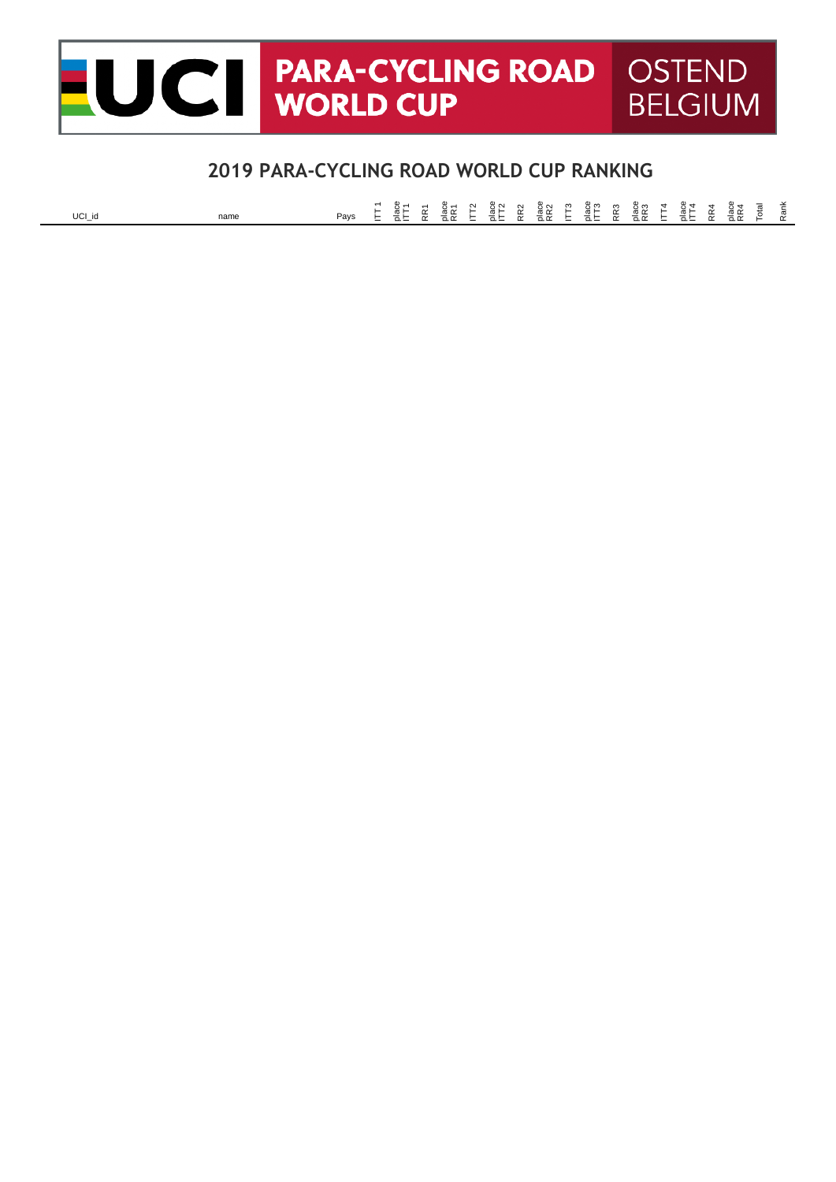#### **PARA-CYCLING ROAD OSTEND** CII **WORLD CUP BELGIUM**

### **2019 PARA-CYCLING ROAD WORLD CUP RANKING**

UCI\_id name Pays E all act a late all and a late all a late and a late and a late and a late and a late of a l<br>Plays E all at all all at all at all at a late a late a late a late a late a